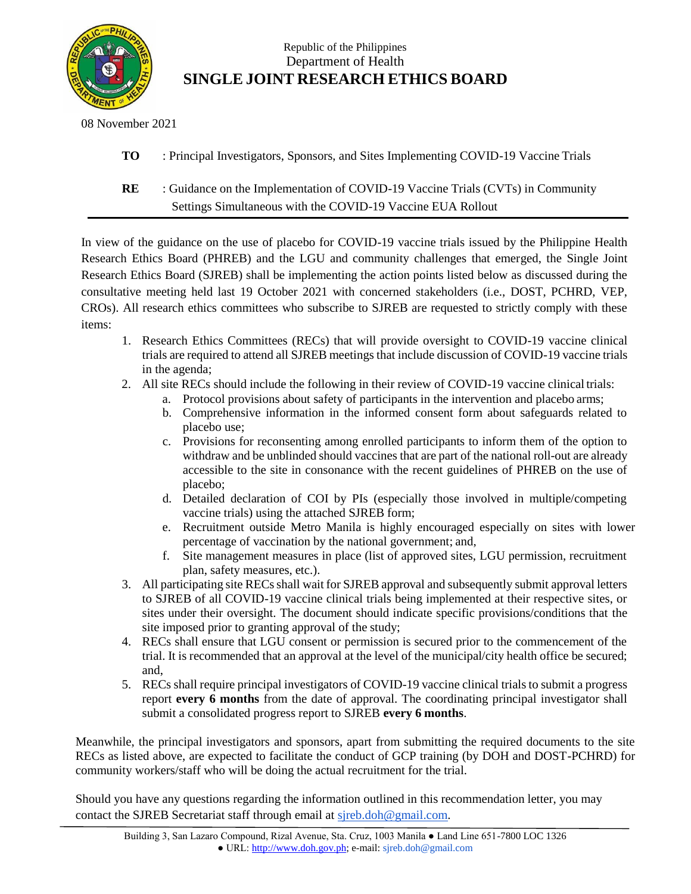

## Republic of the Philippines Department of Health **SINGLE JOINT RESEARCH ETHICS BOARD**

08 November 2021

**TO** : Principal Investigators, Sponsors, and Sites Implementing COVID-19 Vaccine Trials

**RE** : Guidance on the Implementation of COVID-19 Vaccine Trials (CVTs) in Community Settings Simultaneous with the COVID-19 Vaccine EUA Rollout

In view of the guidance on the use of placebo for COVID-19 vaccine trials issued by the Philippine Health Research Ethics Board (PHREB) and the LGU and community challenges that emerged, the Single Joint Research Ethics Board (SJREB) shall be implementing the action points listed below as discussed during the consultative meeting held last 19 October 2021 with concerned stakeholders (i.e., DOST, PCHRD, VEP, CROs). All research ethics committees who subscribe to SJREB are requested to strictly comply with these items:

- 1. Research Ethics Committees (RECs) that will provide oversight to COVID-19 vaccine clinical trials are required to attend all SJREB meetings that include discussion of COVID-19 vaccine trials in the agenda;
- 2. All site RECs should include the following in their review of COVID-19 vaccine clinical trials:
	- a. Protocol provisions about safety of participants in the intervention and placebo arms;
	- b. Comprehensive information in the informed consent form about safeguards related to placebo use;
	- c. Provisions for reconsenting among enrolled participants to inform them of the option to withdraw and be unblinded should vaccines that are part of the national roll-out are already accessible to the site in consonance with the recent guidelines of PHREB on the use of placebo;
	- d. Detailed declaration of COI by PIs (especially those involved in multiple/competing vaccine trials) using the attached SJREB form;
	- e. Recruitment outside Metro Manila is highly encouraged especially on sites with lower percentage of vaccination by the national government; and,
	- f. Site management measures in place (list of approved sites, LGU permission, recruitment plan, safety measures, etc.).
- 3. All participating site RECs shall wait for SJREB approval and subsequently submit approval letters to SJREB of all COVID-19 vaccine clinical trials being implemented at their respective sites, or sites under their oversight. The document should indicate specific provisions/conditions that the site imposed prior to granting approval of the study;
- 4. RECs shall ensure that LGU consent or permission is secured prior to the commencement of the trial. It is recommended that an approval at the level of the municipal/city health office be secured; and,
- 5. RECs shall require principal investigators of COVID-19 vaccine clinical trialsto submit a progress report **every 6 months** from the date of approval. The coordinating principal investigator shall submit a consolidated progress report to SJREB **every 6 months**.

Meanwhile, the principal investigators and sponsors, apart from submitting the required documents to the site RECs as listed above, are expected to facilitate the conduct of GCP training (by DOH and DOST-PCHRD) for community workers/staff who will be doing the actual recruitment for the trial.

Should you have any questions regarding the information outlined in this recommendation letter, you may contact the SJREB Secretariat staff through email at [sjreb.doh@gmail.com.](mailto:sjreb.doh@gmail.com)